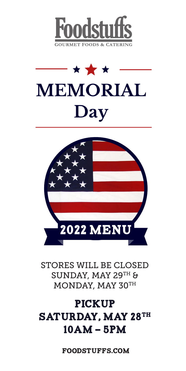





STORES WILL BE CLOSED SUNDAY, MAY 29TH & MONDAY, MAY 30TH

# PICKUP SATURDAY, MAY 28TH 10AM - 5PM

foodstuffs.com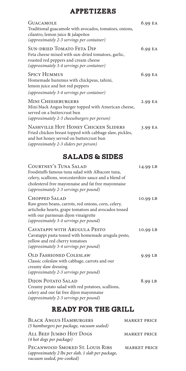## **APPETIZERS**

| <b>GUACAMOLE</b><br>Traditional guacamole with avocados, tomatoes, onions,<br>cilantro, lemon juice & jalapeños<br>(approximately 2-3 servings per container)                       | 6.99 EA |
|-------------------------------------------------------------------------------------------------------------------------------------------------------------------------------------|---------|
| <b>SUN-DRIED TOMATO FETA DIP</b><br>Feta cheese mixed with sun-dried tomatoes, garlic,<br>roasted red peppers and cream cheese<br>(approximately 3-4 servings per container)        | 6.99 EA |
| <b>SPICY HUMMUS</b><br>Homemade hummus with chickpeas, tahini,<br>lemon juice and hot red peppers                                                                                   | 6.99 EA |
| (approximately 3-4 servings per container)                                                                                                                                          |         |
| <b>MINI CHEESEBURGERS</b><br>Mini black Angus burger topped with American cheese,<br>served on a buttercrust bun<br>(approximately 2-3 cheeseburgers per person)                    | 2.99 EA |
| NASHVILLE HOT HONEY CHICKEN SLIDERS<br>Fried chicken breast topped with cabbage slaw, pickles,<br>and hot honey served on buttercrust bun<br>(approximately 2-3 sliders per person) | 3.99 EA |

### Salads & Sides

| <b>COURTNEY'S TUNA SALAD</b><br>Foodstuffs famous tuna salad with Albacore tuna,<br>celery, scallions, worcestershire sauce and a blend of<br>cholesterol free mayonnaise and fat free mayonnaise<br>(approximately 2-3 servings per pound) | 14.99 LB |
|---------------------------------------------------------------------------------------------------------------------------------------------------------------------------------------------------------------------------------------------|----------|
| <b>CHOPPED SALAD</b><br>Raw green beans, carrots, red onions, corn, celery,<br>artichoke hearts, grape tomatoes and avocados tossed<br>with our parmesan dijon vinaigrette<br>(approximately 3-4 servings per pound)                        | 10.99 LB |
| CAVATAPPI WITH ARUGULA PESTO<br>Cavatappi pasta tossed with homemade arugula pesto,<br>yellow and red cherry tomatoes<br>(approximately 3-4 servings per pound)                                                                             | 10.99 LB |
| <b>OLD FASHIONED COLESLAW</b><br>Classic coleslaw with cabbage, carrots and our<br>creamy slaw dressing<br>(approximately 2-3 servings per pound)                                                                                           | 9.99 LB  |
| <b>DIJON POTATO SALAD</b><br>Creamy potato salad with red potatoes, scallions,<br>celery and our fat free dijon mayonnaise<br>(approximately 2-3 servings per pound)                                                                        | 8.99 LB  |

## Ready for the grill

| <b>BLACK ANGUS HAMBURGERS</b><br>(5 hamburgers per package, vacuum sealed)                                          | <b>MARKET PRICE</b> |
|---------------------------------------------------------------------------------------------------------------------|---------------------|
| ALL BEEF JUMBO HOT DOGS<br>(4 hot dogs per package)                                                                 | <b>MARKET PRICE</b> |
| PECANWOOD SMOKED ST. LOUIS RIBS<br>(approximately 2 lbs per slab, 1 slab per package,<br>vacuum sealed, pre-cooked) | <b>MARKET PRICE</b> |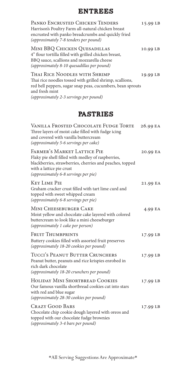#### **ENTREES**

| PANKO ENCRUSTED CHICKEN TENDERS<br>Harrison's Poultry Farm all-natural chicken breast<br>encrusted with panko breadcrumbs and quickly fried<br>(approximately 7-8 tenders per pound)                                | 15.99 LB |
|---------------------------------------------------------------------------------------------------------------------------------------------------------------------------------------------------------------------|----------|
| MINI BBQ CHICKEN QUESADILLAS<br>4" flour tortilla filled with grilled chicken breast,<br>BBQ sauce, scallions and mozzarella cheese<br>(approximately 8-10 quesadillas per pound)                                   | 10.99 LB |
| Thai Rice Noodles with Shrimp<br>Thai rice noodles tossed with grilled shrimp, scallions,<br>red bell peppers, sugar snap peas, cucumbers, bean sprouts<br>and fresh mint<br>(approximately 2-3 servings per pound) | 19.99 LB |
| <b>PASTRIES</b>                                                                                                                                                                                                     |          |
| VANILLA FROSTED CHOCOLATE FUDGE TORTE<br>Three layers of moist cake filled with fudge icing<br>and covered with vanilla buttercream<br>(approximately 5-6 servings per cake)                                        | 26.99 EA |
| FARMER'S MARKET LATTICE PIE<br>Flaky pie shell filled with medley of raspberries,<br>blackberries, strawberries, cherries and peaches, topped<br>with a lattice pie crust<br>(approximately 6-8 servings per pie)   | 20.99 EA |
| <b>KEY LIME PIE</b><br>Graham cracker crust filled with tart lime curd and<br>topped with sweet whipped cream<br>(approximately 6-8 servings per pie)                                                               | 21.99 EA |
| MINI CHEESEBURGER CAKE<br>Moist yellow and chocolate cake layered with colored<br>buttercream to look like a mini cheeseburger<br>(approximately 1 cake per person)                                                 | 4.99 EA  |
| <b>FRUIT THUMBPRINTS</b><br>Buttery cookies filled with assorted fruit preserves<br>(approximately 18-20 cookies per pound)                                                                                         | 17.99 LB |
| TUCCI'S PEANUT BUTTER CRUNCHERS<br>Peanut butter, peanuts and rice krispies enrobed in<br>rich dark chocolate<br>(approximately 18-20 crunchers per pound)                                                          | 17.99 LB |
| HOLIDAY MINI SHORTBREAD COOKIES<br>Our famous vanilla shortbread cookies cut into stars<br>with red and blue sugar<br>(approximately 28-30 cookies per pound)                                                       | 17.99 LB |
| <b>CRAZY GOOD BARS</b><br>Chocolate chip cookie dough layered with oreos and<br>topped with our chocolate fudge brownies                                                                                            | 17.99 LB |

*(approximately 3-4 bars per pound)*